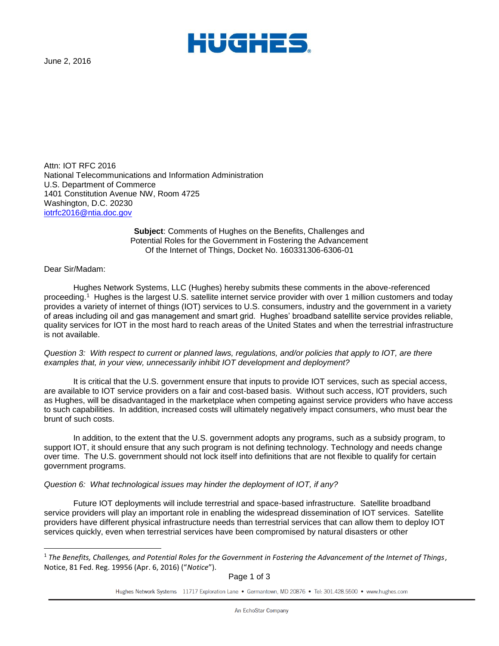

June 2, 2016

Attn: IOT RFC 2016 National Telecommunications and Information Administration U.S. Department of Commerce 1401 Constitution Avenue NW, Room 4725 Washington, D.C. 20230 [iotrfc2016@ntia.doc.gov](mailto:Iotrfc2016@ntia.doc.gov)

> **Subject**: Comments of Hughes on the Benefits, Challenges and Potential Roles for the Government in Fostering the Advancement Of the Internet of Things, Docket No. 160331306-6306-01

Dear Sir/Madam:

l

Hughes Network Systems, LLC (Hughes) hereby submits these comments in the above-referenced proceeding.<sup>1</sup> Hughes is the largest U.S. satellite internet service provider with over 1 million customers and today provides a variety of internet of things (IOT) services to U.S. consumers, industry and the government in a variety of areas including oil and gas management and smart grid. Hughes' broadband satellite service provides reliable, quality services for IOT in the most hard to reach areas of the United States and when the terrestrial infrastructure is not available.

*Question 3: With respect to current or planned laws, regulations, and/or policies that apply to IOT, are there examples that, in your view, unnecessarily inhibit IOT development and deployment?* 

It is critical that the U.S. government ensure that inputs to provide IOT services, such as special access, are available to IOT service providers on a fair and cost-based basis. Without such access, IOT providers, such as Hughes, will be disadvantaged in the marketplace when competing against service providers who have access to such capabilities. In addition, increased costs will ultimately negatively impact consumers, who must bear the brunt of such costs.

In addition, to the extent that the U.S. government adopts any programs, such as a subsidy program, to support IOT, it should ensure that any such program is not defining technology. Technology and needs change over time. The U.S. government should not lock itself into definitions that are not flexible to qualify for certain government programs.

## *Question 6: What technological issues may hinder the deployment of IOT, if any?*

Future IOT deployments will include terrestrial and space-based infrastructure. Satellite broadband service providers will play an important role in enabling the widespread dissemination of IOT services. Satellite providers have different physical infrastructure needs than terrestrial services that can allow them to deploy IOT services quickly, even when terrestrial services have been compromised by natural disasters or other

Page 1 of 3

Hughes Network Systems 11717 Exploration Lane • Germantown, MD 20876 • Tel: 301.428.5500 • www.hughes.com

<sup>1</sup> *The Benefits, Challenges, and Potential Roles for the Government in Fostering the Advancement of the Internet of Things*, Notice, 81 Fed. Reg. 19956 (Apr. 6, 2016) ("*Notice*").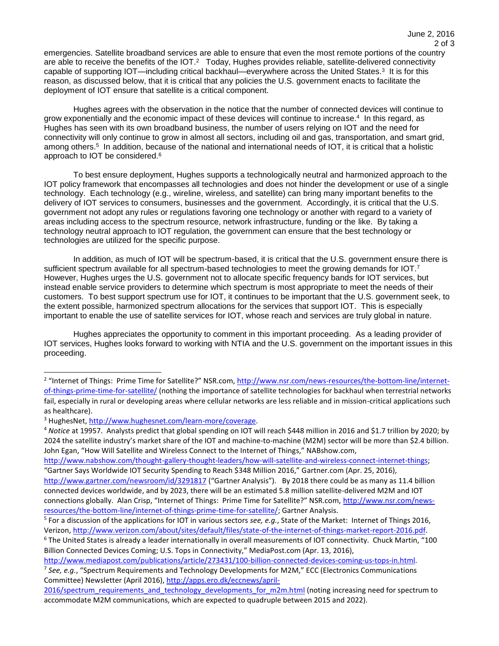emergencies. Satellite broadband services are able to ensure that even the most remote portions of the country are able to receive the benefits of the IOT.<sup>2</sup> Today, Hughes provides reliable, satellite-delivered connectivity capable of supporting IOT—including critical backhaul—everywhere across the United States.<sup>3</sup> It is for this reason, as discussed below, that it is critical that any policies the U.S. government enacts to facilitate the deployment of IOT ensure that satellite is a critical component.

Hughes agrees with the observation in the notice that the number of connected devices will continue to grow exponentially and the economic impact of these devices will continue to increase.<sup>4</sup> In this regard, as Hughes has seen with its own broadband business, the number of users relying on IOT and the need for connectivity will only continue to grow in almost all sectors, including oil and gas, transportation, and smart grid, among others.<sup>5</sup> In addition, because of the national and international needs of IOT, it is critical that a holistic approach to IOT be considered.<sup>6</sup>

To best ensure deployment, Hughes supports a technologically neutral and harmonized approach to the IOT policy framework that encompasses all technologies and does not hinder the development or use of a single technology. Each technology (e.g., wireline, wireless, and satellite) can bring many important benefits to the delivery of IOT services to consumers, businesses and the government. Accordingly, it is critical that the U.S. government not adopt any rules or regulations favoring one technology or another with regard to a variety of areas including access to the spectrum resource, network infrastructure, funding or the like. By taking a technology neutral approach to IOT regulation, the government can ensure that the best technology or technologies are utilized for the specific purpose.

In addition, as much of IOT will be spectrum-based, it is critical that the U.S. government ensure there is sufficient spectrum available for all spectrum-based technologies to meet the growing demands for IOT.<sup>7</sup> However, Hughes urges the U.S. government not to allocate specific frequency bands for IOT services, but instead enable service providers to determine which spectrum is most appropriate to meet the needs of their customers. To best support spectrum use for IOT, it continues to be important that the U.S. government seek, to the extent possible, harmonized spectrum allocations for the services that support IOT. This is especially important to enable the use of satellite services for IOT, whose reach and services are truly global in nature.

Hughes appreciates the opportunity to comment in this important proceeding. As a leading provider of IOT services, Hughes looks forward to working with NTIA and the U.S. government on the important issues in this proceeding.

l

[http://www.nabshow.com/thought-gallery-thought-leaders/how-will-satellite-and-wireless-connect-internet-things;](http://www.nabshow.com/thought-gallery-thought-leaders/how-will-satellite-and-wireless-connect-internet-things) "Gartner Says Worldwide IOT Security Spending to Reach \$348 Million 2016," Gartner.com (Apr. 25, 2016),

<sup>&</sup>lt;sup>2</sup> "Internet of Things: Prime Time for Satellite?" NSR.com, [http://www.nsr.com/news-resources/the-bottom-line/internet](http://www.nsr.com/news-resources/the-bottom-line/internet-of-things-prime-time-for-satellite/)[of-things-prime-time-for-satellite/](http://www.nsr.com/news-resources/the-bottom-line/internet-of-things-prime-time-for-satellite/) (nothing the importance of satellite technologies for backhaul when terrestrial networks fail, especially in rural or developing areas where cellular networks are less reliable and in mission-critical applications such as healthcare).

<sup>&</sup>lt;sup>3</sup> HughesNet[, http://www.hughesnet.com/learn-more/coverage.](http://www.hughesnet.com/learn-more/coverage)

<sup>4</sup> *Notice* at 19957. Analysts predict that global spending on IOT will reach \$448 million in 2016 and \$1.7 trillion by 2020; by 2024 the satellite industry's market share of the IOT and machine-to-machine (M2M) sector will be more than \$2.4 billion. John Egan, "How Will Satellite and Wireless Connect to the Internet of Things," NABshow.com,

<http://www.gartner.com/newsroom/id/3291817> ("Gartner Analysis"). By 2018 there could be as many as 11.4 billion connected devices worldwide, and by 2023, there will be an estimated 5.8 million satellite-delivered M2M and IOT connections globally. Alan Crisp, "Internet of Things: Prime Time for Satellite?" NSR.com, [http://www.nsr.com/news](http://www.nsr.com/news-resources/the-bottom-line/internet-of-things-prime-time-for-satellite/)[resources/the-bottom-line/internet-of-things-prime-time-for-satellite/;](http://www.nsr.com/news-resources/the-bottom-line/internet-of-things-prime-time-for-satellite/) Gartner Analysis.

<sup>5</sup> For a discussion of the applications for IOT in various sectors *see, e.g.*, State of the Market: Internet of Things 2016, Verizon[, http://www.verizon.com/about/sites/default/files/state-of-the-internet-of-things-market-report-2016.pdf.](http://www.verizon.com/about/sites/default/files/state-of-the-internet-of-things-market-report-2016.pdf) 

 $6$  The United States is already a leader internationally in overall measurements of IOT connectivity. Chuck Martin, "100 Billion Connected Devices Coming; U.S. Tops in Connectivity," MediaPost.com (Apr. 13, 2016),

[http://www.mediapost.com/publications/article/273431/100-billion-connected-devices-coming-us-tops-in.html.](http://www.mediapost.com/publications/article/273431/100-billion-connected-devices-coming-us-tops-in.html) 7 *See, e.g.*, "Spectrum Requirements and Technology Developments for M2M," ECC (Electronics Communications Committee) Newsletter (April 2016), [http://apps.ero.dk/eccnews/april-](http://apps.ero.dk/eccnews/april-2016/spectrum_requirements_and_technology_developments_for_m2m.html)

[<sup>2016/</sup>spectrum\\_requirements\\_and\\_technology\\_developments\\_for\\_m2m.html](http://apps.ero.dk/eccnews/april-2016/spectrum_requirements_and_technology_developments_for_m2m.html) (noting increasing need for spectrum to accommodate M2M communications, which are expected to quadruple between 2015 and 2022).